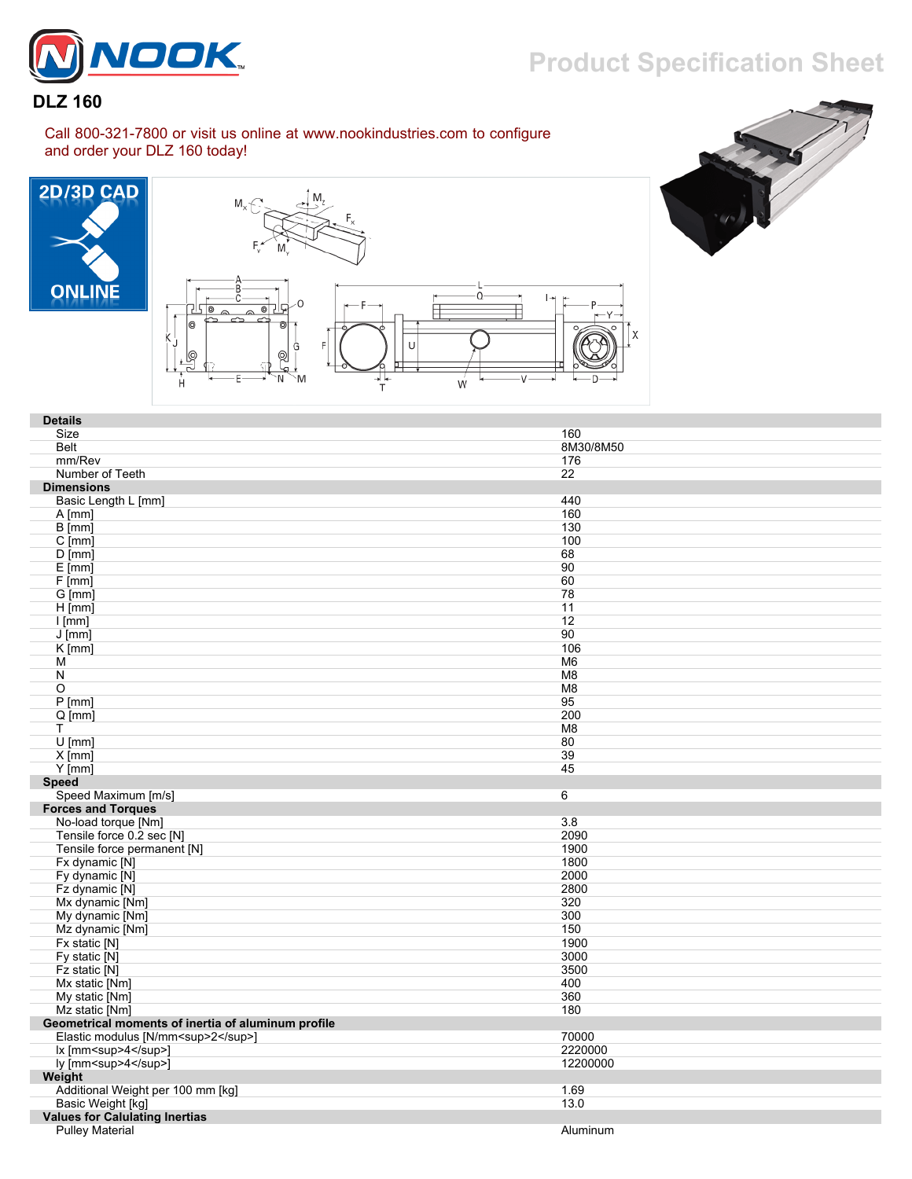

## **DLZ 160**

Call 800-321-7800 or visit us online at www.nookindustries.com to configure and order your DLZ 160 today!







| <b>Details</b>                                     |                |
|----------------------------------------------------|----------------|
| Size                                               | 160            |
| <b>Belt</b>                                        | 8M30/8M50      |
| mm/Rev                                             | 176            |
| Number of Teeth                                    | 22             |
| <b>Dimensions</b>                                  |                |
| Basic Length L [mm]                                | 440            |
| $A$ [mm]                                           | 160            |
| B [mm]                                             | 130            |
| $C$ [mm]                                           | 100            |
| $D$ [mm]                                           | 68             |
| $E$ [mm]                                           | 90             |
| $F$ [mm]                                           | 60             |
| G [mm]                                             | 78             |
| $H$ [mm]                                           | 11             |
| $l$ [mm]                                           | 12             |
| $J$ [mm]                                           | 90             |
| $K$ [mm]                                           | 106            |
| м                                                  | M6             |
| N                                                  | M <sub>8</sub> |
| O                                                  | M <sub>8</sub> |
| $P$ [mm]                                           | 95             |
| $Q$ [mm]                                           | 200            |
| т                                                  | M8             |
| $U$ [mm]                                           | 80             |
| $X$ [mm]                                           | 39             |
| $Y$ [mm]                                           | 45             |
| <b>Speed</b>                                       |                |
| Speed Maximum [m/s]                                | 6              |
| <b>Forces and Torques</b>                          |                |
| No-load torque [Nm]                                | 3.8            |
| Tensile force 0.2 sec [N]                          | 2090           |
| Tensile force permanent [N]                        | 1900           |
| Fx dynamic [N]                                     | 1800           |
| Fy dynamic [N]                                     | 2000           |
| Fz dynamic [N]                                     | 2800           |
| Mx dynamic [Nm]                                    | 320            |
| My dynamic [Nm]                                    | 300            |
| Mz dynamic [Nm]                                    | 150            |
| Fx static [N]                                      | 1900           |
| Fy static [N]                                      | 3000           |
| Fz static [N]                                      | 3500           |
| Mx static [Nm]                                     | 400            |
| My static [Nm]                                     | 360            |
| Mz static [Nm]                                     | 180            |
| Geometrical moments of inertia of aluminum profile |                |
| Elastic modulus [N/mm <sup>2</sup> ]               | 70000          |
| lx [mm <sup>4</sup> ]                              | 2220000        |
| ly [mm <sup>4</sup> ]                              | 12200000       |
| Weight                                             |                |
| Additional Weight per 100 mm [kg]                  | 1.69           |
| Basic Weight [kg]                                  | 13.0           |
| <b>Values for Calulating Inertias</b>              |                |
| <b>Pulley Material</b>                             | Aluminum       |